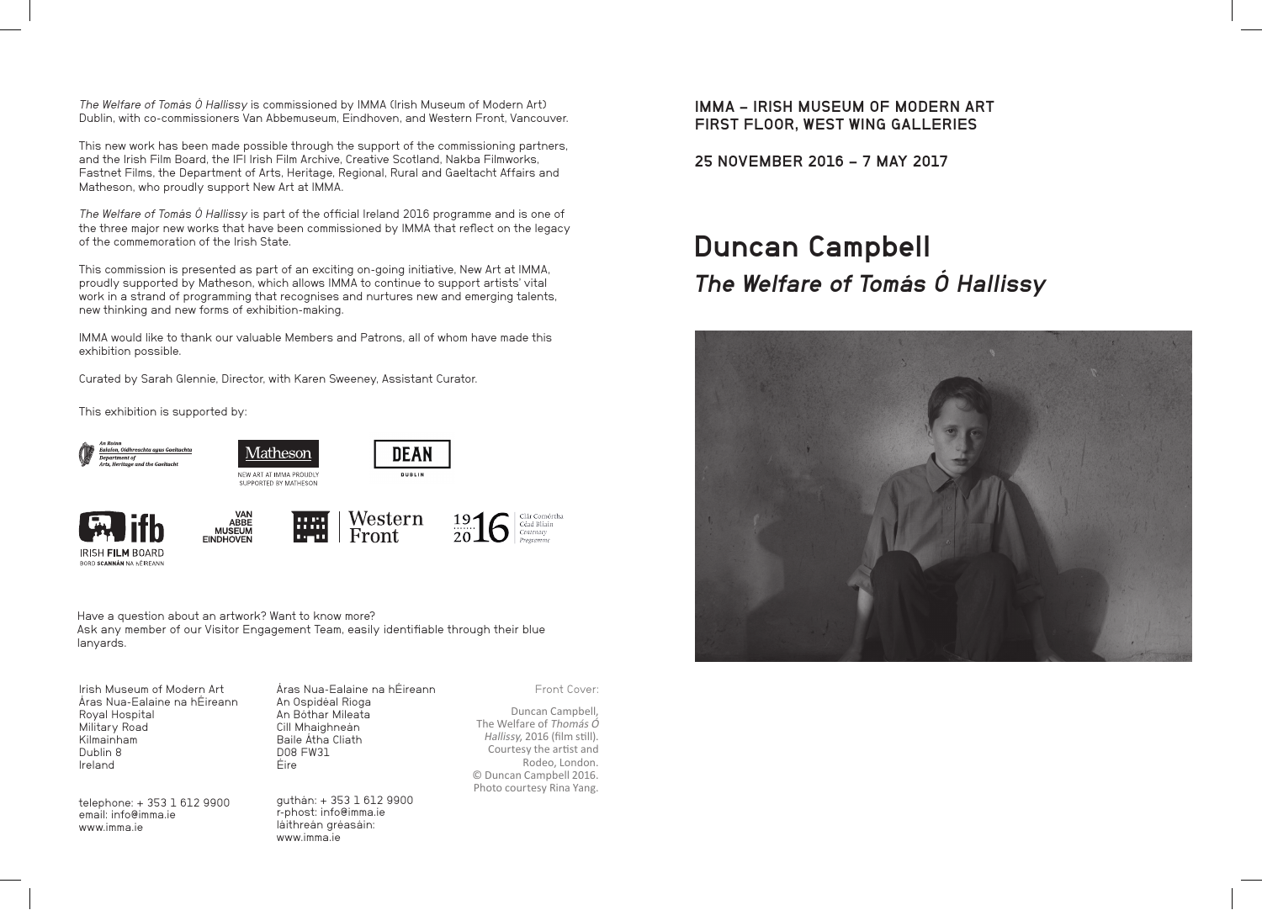The Welfare of Tomás Ó Hallissy is commissioned by IMMA (Irish Museum of Modern Art) Dublin, with co-commissioners Van Abbemuseum, Eindhoven, and Western Front, Vancouver.

This new work has been made possible through the support of the commissioning partners, and the Irish Film Board, the IFI Irish Film Archive, Creative Scotland, Nakba Filmworks, Fastnet Films, the Department of Arts, Heritage, Regional, Rural and Gaeltacht Affairs and Matheson, who proudly support New Art at IMMA.

The Welfare of Tomás Ó Hallissy is part of the official Ireland 2016 programme and is one of the three major new works that have been commissioned by IMMA that reflect on the legacy of the commemoration of the Irish State.

This commission is presented as part of an exciting on-going initiative, New Art at IMMA, proudly supported by Matheson, which allows IMMA to continue to support artists' vital work in a strand of programming that recognises and nurtures new and emerging talents, new thinking and new forms of exhibition-making.

IMMA would like to thank our valuable Members and Patrons, all of whom have made this exhibition possible.

Curated by Sarah Glennie, Director, with Karen Sweeney, Assistant Curator.

This exhibition is supported by:



**IRISH FILM ROARD** BORD SCANNÁN NA HÉIREANI

Have a question about an artwork? Want to know more? Ask any member of our Visitor Engagement Team, easily identifiable through their blue lanyards.

| Irish Museum of Modern Art                                                                           | Aras Nua-Ealaine na hÉireann                                                                              | Front Cover:                                                                                                                                                                     |
|------------------------------------------------------------------------------------------------------|-----------------------------------------------------------------------------------------------------------|----------------------------------------------------------------------------------------------------------------------------------------------------------------------------------|
| Aras Nua-Ealaine na hÉireann<br>Royal Hospital<br>Military Road<br>Kilmainham<br>Dublin 8<br>Ireland | An Ospidéal Ríoga<br>An Bóthar Míleata<br>Cill Mhaighneán<br>Baile Atha Cliath<br><b>DO8 FW31</b><br>Eire | Duncan Campbell,<br>The Welfare of Thomás Ó<br>Hallissy, 2016 (film still).<br>Courtesy the artist and<br>Rodeo, London.<br>© Duncan Campbell 2016.<br>Photo courtesy Rina Yang. |
| telephone: + 353 1 612 9900<br>email: info@imma.ie<br>www.imma.ie                                    | guthán: +353 1612 9900<br>r-phost: info@imma.ie<br>láithreán gréasáin:<br>www.imma.ie                     |                                                                                                                                                                                  |

IMMA – IRISH MUSEUM OF MODERN ART FIRST FLOOR, WEST WING GALLERIES

25 NOVEMBER 2016 – 7 MAY 2017

## Duncan Campbell The Welfare of Tomás Ó Hallissy